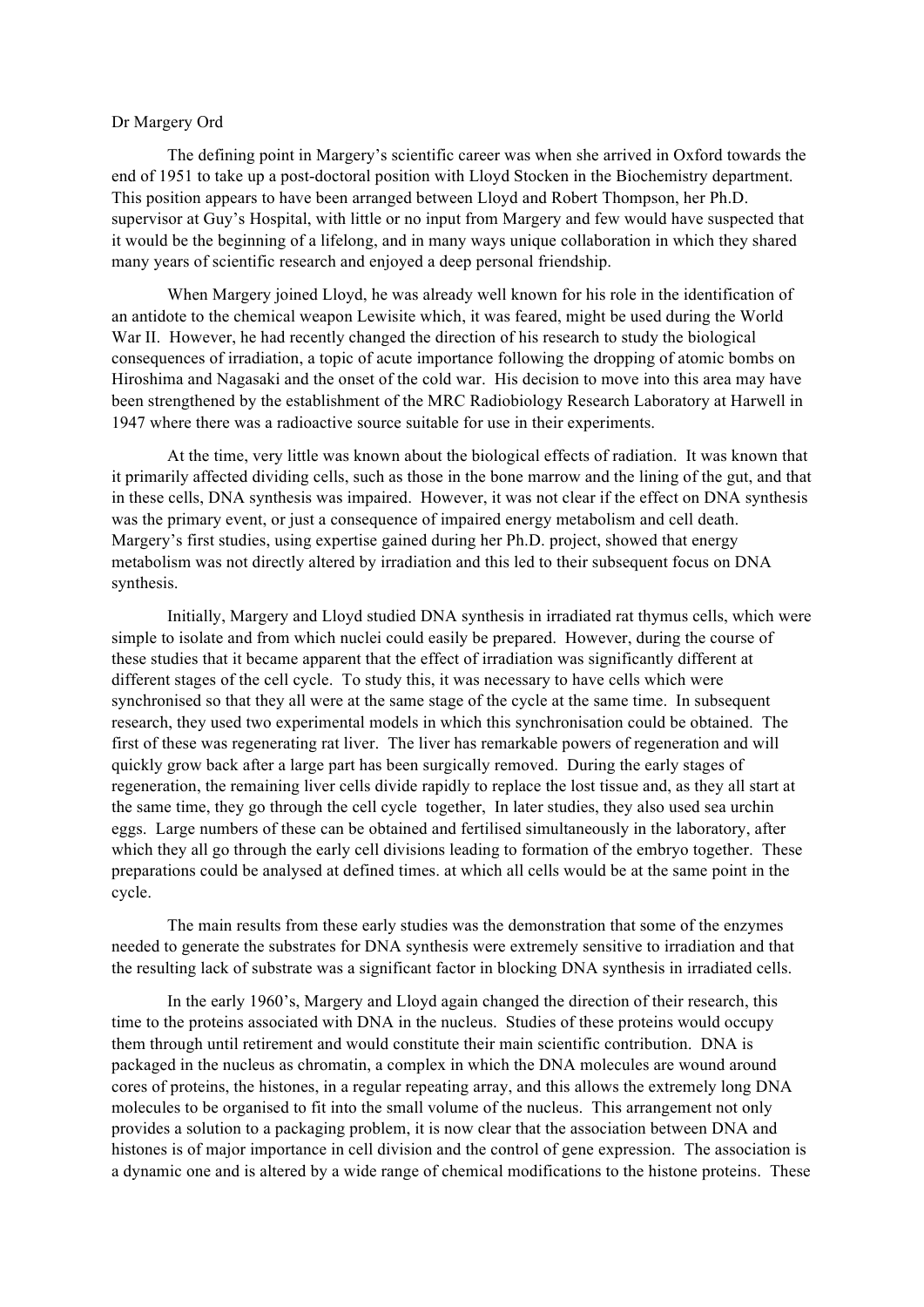## Dr Margery Ord

The defining point in Margery's scientific career was when she arrived in Oxford towards the end of 1951 to take up a post-doctoral position with Lloyd Stocken in the Biochemistry department. This position appears to have been arranged between Lloyd and Robert Thompson, her Ph.D. supervisor at Guy's Hospital, with little or no input from Margery and few would have suspected that it would be the beginning of a lifelong, and in many ways unique collaboration in which they shared many years of scientific research and enjoyed a deep personal friendship.

When Margery joined Lloyd, he was already well known for his role in the identification of an antidote to the chemical weapon Lewisite which, it was feared, might be used during the World War II. However, he had recently changed the direction of his research to study the biological consequences of irradiation, a topic of acute importance following the dropping of atomic bombs on Hiroshima and Nagasaki and the onset of the cold war. His decision to move into this area may have been strengthened by the establishment of the MRC Radiobiology Research Laboratory at Harwell in 1947 where there was a radioactive source suitable for use in their experiments.

At the time, very little was known about the biological effects of radiation. It was known that it primarily affected dividing cells, such as those in the bone marrow and the lining of the gut, and that in these cells, DNA synthesis was impaired. However, it was not clear if the effect on DNA synthesis was the primary event, or just a consequence of impaired energy metabolism and cell death. Margery's first studies, using expertise gained during her Ph.D. project, showed that energy metabolism was not directly altered by irradiation and this led to their subsequent focus on DNA synthesis.

Initially, Margery and Lloyd studied DNA synthesis in irradiated rat thymus cells, which were simple to isolate and from which nuclei could easily be prepared. However, during the course of these studies that it became apparent that the effect of irradiation was significantly different at different stages of the cell cycle. To study this, it was necessary to have cells which were synchronised so that they all were at the same stage of the cycle at the same time. In subsequent research, they used two experimental models in which this synchronisation could be obtained. The first of these was regenerating rat liver. The liver has remarkable powers of regeneration and will quickly grow back after a large part has been surgically removed. During the early stages of regeneration, the remaining liver cells divide rapidly to replace the lost tissue and, as they all start at the same time, they go through the cell cycle together, In later studies, they also used sea urchin eggs. Large numbers of these can be obtained and fertilised simultaneously in the laboratory, after which they all go through the early cell divisions leading to formation of the embryo together. These preparations could be analysed at defined times. at which all cells would be at the same point in the cycle.

The main results from these early studies was the demonstration that some of the enzymes needed to generate the substrates for DNA synthesis were extremely sensitive to irradiation and that the resulting lack of substrate was a significant factor in blocking DNA synthesis in irradiated cells.

In the early 1960's, Margery and Lloyd again changed the direction of their research, this time to the proteins associated with DNA in the nucleus. Studies of these proteins would occupy them through until retirement and would constitute their main scientific contribution. DNA is packaged in the nucleus as chromatin, a complex in which the DNA molecules are wound around cores of proteins, the histones, in a regular repeating array, and this allows the extremely long DNA molecules to be organised to fit into the small volume of the nucleus. This arrangement not only provides a solution to a packaging problem, it is now clear that the association between DNA and histones is of major importance in cell division and the control of gene expression. The association is a dynamic one and is altered by a wide range of chemical modifications to the histone proteins. These